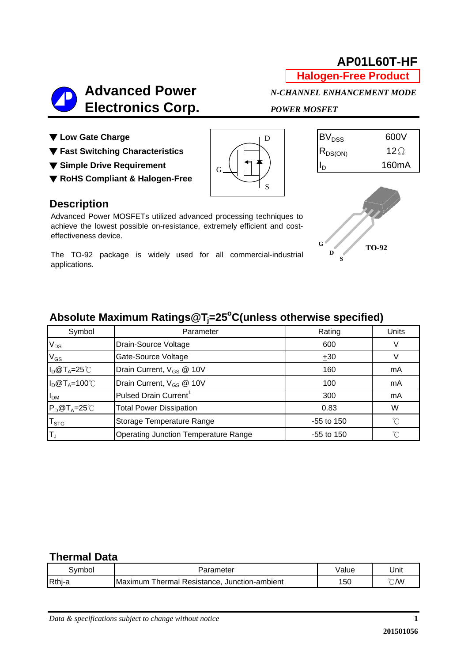# **AP01L60T-HF**

**Halogen-Free Product**

# **Advanced Power** *N-CHANNEL ENHANCEMENT MODE*  **Electronics Corp.** *POWER MOSFET*

D

S

- ▼ Low Gate Charge **BV**<sub>DSS</sub> 600V
- **▼ Fast Switching Characteristics**  $\begin{bmatrix} \begin{matrix} 1 \end{matrix} & \begin{matrix} 1 \end{matrix} \end{bmatrix}$   $\begin{bmatrix} R_{DS(ON)} & 12\Omega \end{bmatrix}$
- **▼** Simple Drive Requirement  $\begin{bmatrix} 1 & 1 \\ 0 & 1 \end{bmatrix}$  160mA
- ▼ **RoHS Compliant & Halogen-Free**

### **Description**

Advanced Power MOSFETs utilized advanced processing techniques to achieve the lowest possible on-resistance, extremely efficient and costeffectiveness device.

The TO-92 package is widely used for all commercial-industrial applications.



**S**

# **Absolute Maximum Ratings@Tj =25o C(unless otherwise specified)**

G

| Symbol                    | Parameter                                   | Rating       | Units |
|---------------------------|---------------------------------------------|--------------|-------|
| $V_{DS}$                  | Drain-Source Voltage                        | 600          |       |
| $V_{GS}$                  | Gate-Source Voltage                         | ±30          |       |
| $I_D@T_A=25°C$            | Drain Current, V <sub>GS</sub> @ 10V        | 160          | mA    |
| $I_D@T_A=100^{\circ}C$    | Drain Current, V <sub>GS</sub> @ 10V        | 100          | mA    |
| I <sub>DM</sub>           | Pulsed Drain Current <sup>1</sup>           | 300          | mA    |
| $P_D@T_A=25^{\circ}C$     | <b>Total Power Dissipation</b>              | 0.83         | W     |
| $\mathsf{T}_{\text{STG}}$ | Storage Temperature Range                   | $-55$ to 150 | °C    |
| $\mathsf{T}_\mathsf{J}$   | <b>Operating Junction Temperature Range</b> | $-55$ to 150 | °∩°   |

#### **Thermal Data**

| svmbo  | Parameter                                          | Value | Unit          |
|--------|----------------------------------------------------|-------|---------------|
| Rthj-a | Maximum<br>Thermal Resistance.<br>Junction-ambient | 50    | )/W<br>$\sim$ |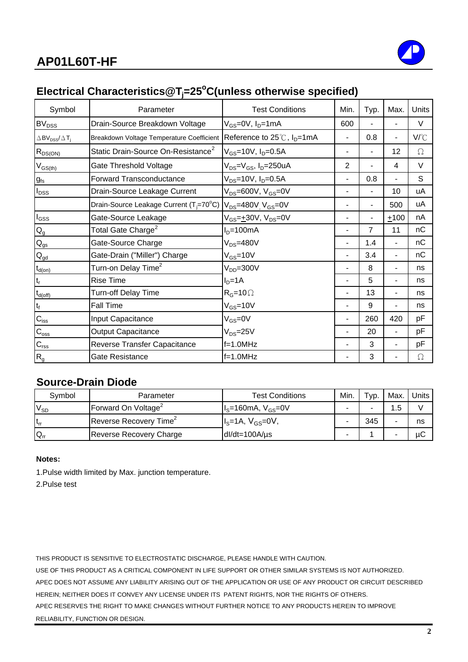

# Electrical Characteristics@T<sub>j</sub>=25°C(unless otherwise specified)

| Symbol                                                     | Parameter                                           | <b>Test Conditions</b>                             | Min.                     | Typ.           | Max.                     | Units |
|------------------------------------------------------------|-----------------------------------------------------|----------------------------------------------------|--------------------------|----------------|--------------------------|-------|
| BV <sub>DSS</sub>                                          | Drain-Source Breakdown Voltage                      | V <sub>GS</sub> =0V, I <sub>D</sub> =1mA           | 600                      |                |                          | V     |
| $\triangle$ BV <sub>DSS</sub> / $\triangle$ T <sub>j</sub> | Breakdown Voltage Temperature Coefficient           | Reference to $25^{\circ}$ C, $I_{D} = 1 \text{mA}$ | $\blacksquare$           | 0.8            | $\overline{\phantom{0}}$ | V/°C  |
| $R_{DS(ON)}$                                               | Static Drain-Source On-Resistance <sup>2</sup>      | $V_{GS}$ =10V, $I_D$ =0.5A                         |                          | ۰              | 12                       | Ω     |
| $V_{GS(th)}$                                               | Gate Threshold Voltage                              | $V_{DS} = V_{GS}$ , I <sub>D</sub> =250uA          | 2                        |                | 4                        | V     |
| $g_{\text{fs}}$                                            | <b>Forward Transconductance</b>                     | $V_{DS} = 10V$ , $I_D = 0.5A$                      | $\overline{\phantom{a}}$ | 0.8            |                          | S     |
| $I_{DSS}$                                                  | Drain-Source Leakage Current                        | $V_{DS}$ =600V, $V_{GS}$ =0V                       |                          | $\blacksquare$ | 10                       | uA    |
|                                                            | Drain-Source Leakage Current (T <sub>i</sub> =70°C) | $V_{DS}$ =480V, V <sub>GS</sub> =0V                |                          |                | 500                      | uA    |
| $I_{GSS}$                                                  | Gate-Source Leakage                                 | $V_{GS} = +30V$ , $V_{DS} = 0V$                    |                          |                | $+100$                   | nA    |
| $\mathsf{Q}_{\mathsf{g}}$                                  | Total Gate Charge $^2$                              | $ID=100mA$                                         |                          | $\overline{7}$ | 11                       | nС    |
| $\mathbf{Q}_\text{gs}$                                     | Gate-Source Charge                                  | $V_{DS} = 480V$                                    | $\blacksquare$           | 1.4            | ۰.                       | nС    |
| $Q_{\underline{gd}}$                                       | Gate-Drain ("Miller") Charge                        | $V_{GS}$ =10V                                      | $\overline{a}$           | 3.4            | ٠                        | nC    |
| $t_{d(on)}$                                                | Turn-on Delay Time <sup>2</sup>                     | $V_{DD} = 300V$                                    |                          | 8              |                          | ns    |
| t,                                                         | <b>Rise Time</b>                                    | $I_D=1A$                                           |                          | 5              |                          | ns    |
| $t_{d(\text{off})}$                                        | <b>Turn-off Delay Time</b>                          | $R_G = 10 \Omega$                                  |                          | 13             | ۰                        | ns    |
| $t_f$                                                      | <b>Fall Time</b>                                    | $V_{GS}$ =10V                                      | $\blacksquare$           | 9              |                          | ns    |
| $C_{iss}$                                                  | Input Capacitance                                   | $V_{GS} = 0V$                                      |                          | 260            | 420                      | pF    |
| $C_{\rm oss}$                                              | <b>Output Capacitance</b>                           | $V_{DS} = 25V$                                     |                          | 20             | ۰                        | рF    |
| $C_{\text{rss}}$                                           | Reverse Transfer Capacitance                        | $f=1.0MHz$                                         |                          | 3              |                          | рF    |
| $R_{g}$                                                    | Gate Resistance                                     | $f=1.0MHz$                                         |                          | 3              |                          | Ω     |

#### **Source-Drain Diode**

| Symbol   | Parameter                          | Test Conditions      | Min. | $\tau_{\text{VD}}$ . | Max. | Units |
|----------|------------------------------------|----------------------|------|----------------------|------|-------|
| $V_{SD}$ | Forward On Voltage <sup>2</sup>    | $IS=160mA, VGS=0V$   |      |                      |      |       |
| $t_{rr}$ | Reverse Recovery Time <sup>2</sup> | $IS=1A, VGS=0V,$     |      | 345                  |      | ns    |
| $Q_{rr}$ | <b>Reverse Recovery Charge</b>     | $dl/dt = 100A/\mu s$ | -    |                      |      | μC    |

#### **Notes:**

1.Pulse width limited by Max. junction temperature.

2.Pulse test

THIS PRODUCT IS SENSITIVE TO ELECTROSTATIC DISCHARGE, PLEASE HANDLE WITH CAUTION.

USE OF THIS PRODUCT AS A CRITICAL COMPONENT IN LIFE SUPPORT OR OTHER SIMILAR SYSTEMS IS NOT AUTHORIZED. APEC DOES NOT ASSUME ANY LIABILITY ARISING OUT OF THE APPLICATION OR USE OF ANY PRODUCT OR CIRCUIT DESCRIBED HEREIN; NEITHER DOES IT CONVEY ANY LICENSE UNDER ITS PATENT RIGHTS, NOR THE RIGHTS OF OTHERS. APEC RESERVES THE RIGHT TO MAKE CHANGES WITHOUT FURTHER NOTICE TO ANY PRODUCTS HEREIN TO IMPROVE

RELIABILITY, FUNCTION OR DESIGN.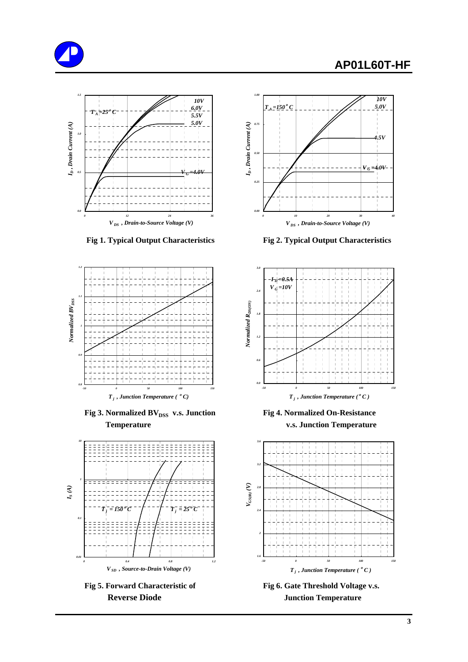# **AP01L60T-HF**



 **Fig 1. Typical Output Characteristics Fig 2. Typical Output Characteristics**



**Fig 3. Normalized BV**<sub>DSS</sub> v.s. Junction Fig 4. Normalized On-Resistance  **Temperature v.s. Junction Temperature**



Fig 5. Forward Characteristic of Fig 6. Gate Threshold Voltage v.s.







**Reverse Diode Junction Temperature**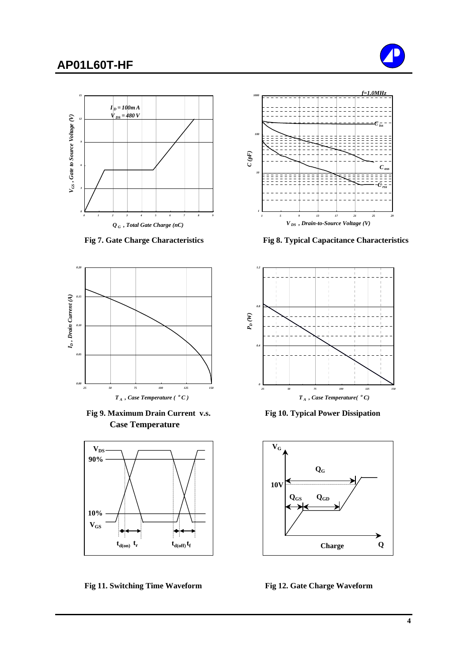### **AP01L60T-HF**







 **Fig 9. Maximum Drain Current v.s. Fig 10. Typical Power Dissipation Case Temperature**



Fig 11. Switching Time Waveform Fig 12. Gate Charge Waveform



 **Fig 7. Gate Charge Characteristics Fig 8. Typical Capacitance Characteristics**



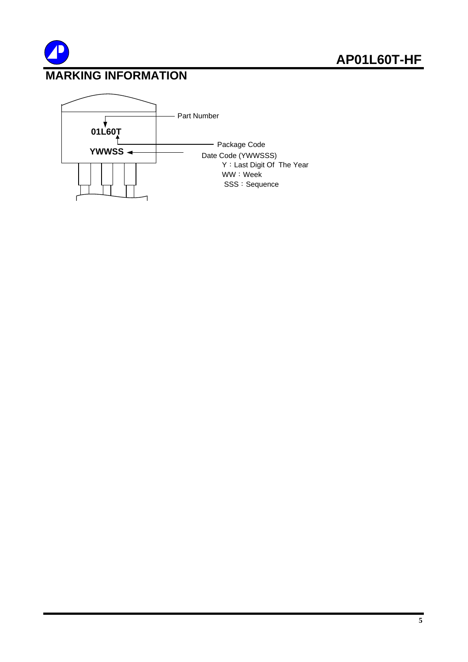

# **MARKING INFORMATION**

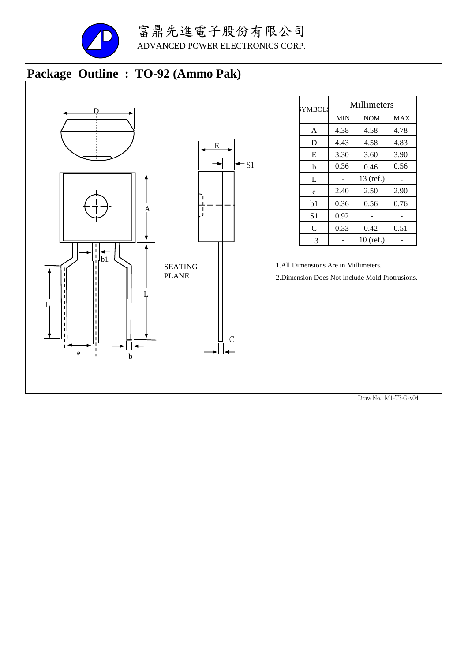

# **Package Outline : TO-92 (Ammo Pak)**